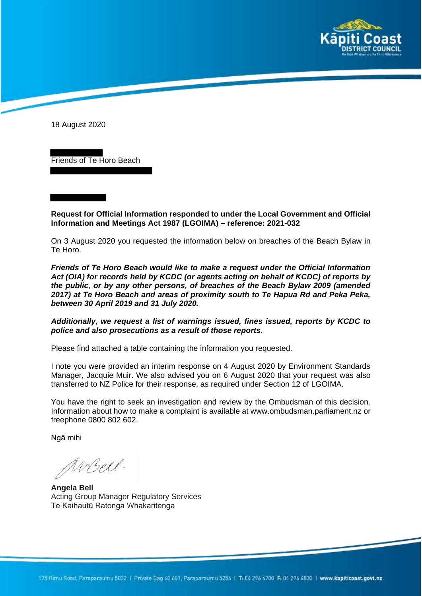

18 August 2020

Friends of Te Horo Beach

**Request for Official Information responded to under the Local Government and Official Information and Meetings Act 1987 (LGOIMA) – reference: 2021-032**

On 3 August 2020 you requested the information below on breaches of the Beach Bylaw in Te Horo.

*Friends of Te Horo Beach would like to make a request under the Official Information Act (OIA) for records held by KCDC (or agents acting on behalf of KCDC) of reports by the public, or by any other persons, of breaches of the Beach Bylaw 2009 (amended 2017) at Te Horo Beach and areas of proximity south to Te Hapua Rd and Peka Peka, between 30 April 2019 and 31 July 2020.*

*Additionally, we request a list of warnings issued, fines issued, reports by KCDC to police and also prosecutions as a result of those reports.* 

Please find attached a table containing the information you requested.

I note you were provided an interim response on 4 August 2020 by Environment Standards Manager, Jacquie Muir. We also advised you on 6 August 2020 that your request was also transferred to NZ Police for their response, as required under Section 12 of LGOIMA.

You have the right to seek an investigation and review by the Ombudsman of this decision. Information about how to make a complaint is available at www.ombudsman.parliament.nz or freephone 0800 802 602.

Ngā mihi

WBell.

**Angela Bell** Acting Group Manager Regulatory Services Te Kaihautū Ratonga Whakaritenga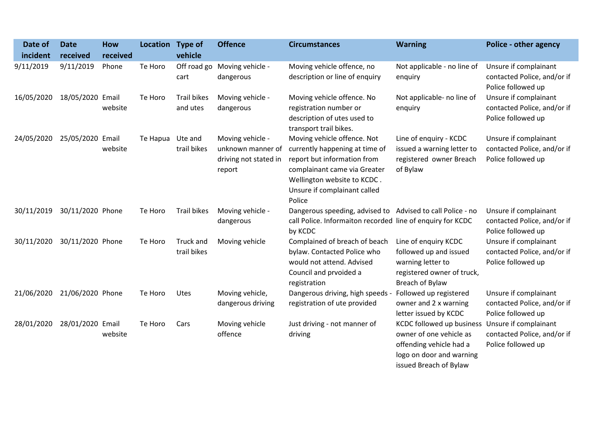| Date of    | <b>Date</b>      | How      | Location Type of |                                | <b>Offence</b>                                                           | <b>Circumstances</b>                                                                                                                                                                                  | <b>Warning</b>                                                                                                                               | <b>Police - other agency</b>                                               |
|------------|------------------|----------|------------------|--------------------------------|--------------------------------------------------------------------------|-------------------------------------------------------------------------------------------------------------------------------------------------------------------------------------------------------|----------------------------------------------------------------------------------------------------------------------------------------------|----------------------------------------------------------------------------|
| incident   | received         | received |                  | vehicle                        |                                                                          |                                                                                                                                                                                                       |                                                                                                                                              |                                                                            |
| 9/11/2019  | 9/11/2019        | Phone    | Te Horo          | Off road go<br>cart            | Moving vehicle -<br>dangerous                                            | Moving vehicle offence, no<br>description or line of enquiry                                                                                                                                          | Not applicable - no line of<br>enquiry                                                                                                       | Unsure if complainant<br>contacted Police, and/or if<br>Police followed up |
| 16/05/2020 | 18/05/2020 Email | website  | Te Horo          | <b>Trail bikes</b><br>and utes | Moving vehicle -<br>dangerous                                            | Moving vehicle offence. No<br>registration number or<br>description of utes used to<br>transport trail bikes.                                                                                         | Not applicable- no line of<br>enquiry                                                                                                        | Unsure if complainant<br>contacted Police, and/or if<br>Police followed up |
| 24/05/2020 | 25/05/2020 Email | website  | Te Hapua         | Ute and<br>trail bikes         | Moving vehicle -<br>unknown manner of<br>driving not stated in<br>report | Moving vehicle offence. Not<br>currently happening at time of<br>report but information from<br>complainant came via Greater<br>Wellington website to KCDC.<br>Unsure if complainant called<br>Police | Line of enquiry - KCDC<br>issued a warning letter to<br>registered owner Breach<br>of Bylaw                                                  | Unsure if complainant<br>contacted Police, and/or if<br>Police followed up |
| 30/11/2019 | 30/11/2020 Phone |          | Te Horo          | <b>Trail bikes</b>             | Moving vehicle -<br>dangerous                                            | Dangerous speeding, advised to Advised to call Police - no<br>call Police. Informaiton recorded line of enquiry for KCDC<br>by KCDC                                                                   |                                                                                                                                              | Unsure if complainant<br>contacted Police, and/or if<br>Police followed up |
| 30/11/2020 | 30/11/2020 Phone |          | Te Horo          | Truck and<br>trail bikes       | Moving vehicle                                                           | Complained of breach of beach<br>bylaw. Contacted Police who<br>would not attend. Advised<br>Council and prvoided a<br>registration                                                                   | Line of enquiry KCDC<br>followed up and issued<br>warning letter to<br>registered owner of truck,<br>Breach of Bylaw                         | Unsure if complainant<br>contacted Police, and/or if<br>Police followed up |
| 21/06/2020 | 21/06/2020 Phone |          | Te Horo          | Utes                           | Moving vehicle,<br>dangerous driving                                     | Dangerous driving, high speeds<br>registration of ute provided                                                                                                                                        | Followed up registered<br>owner and 2 x warning<br>letter issued by KCDC                                                                     | Unsure if complainant<br>contacted Police, and/or if<br>Police followed up |
| 28/01/2020 | 28/01/2020 Email | website  | Te Horo          | Cars                           | Moving vehicle<br>offence                                                | Just driving - not manner of<br>driving                                                                                                                                                               | <b>KCDC followed up business</b><br>owner of one vehicle as<br>offending vehicle had a<br>logo on door and warning<br>issued Breach of Bylaw | Unsure if complainant<br>contacted Police, and/or if<br>Police followed up |